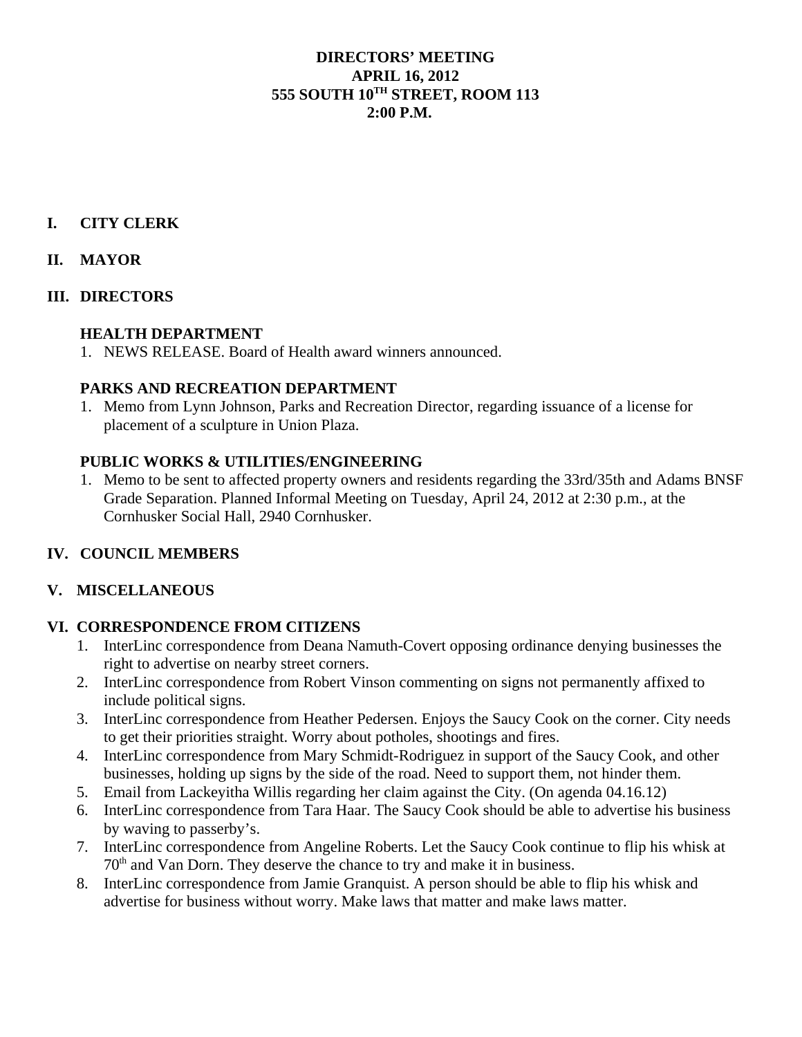## **DIRECTORS' MEETING APRIL 16, 2012 555 SOUTH 10TH STREET, ROOM 113 2:00 P.M.**

# **I. CITY CLERK**

## **II. MAYOR**

#### **III. DIRECTORS**

#### **HEALTH DEPARTMENT**

1. NEWS RELEASE. Board of Health award winners announced.

#### **PARKS AND RECREATION DEPARTMENT**

1. Memo from Lynn Johnson, Parks and Recreation Director, regarding issuance of a license for placement of a sculpture in Union Plaza.

#### **PUBLIC WORKS & UTILITIES/ENGINEERING**

1. Memo to be sent to affected property owners and residents regarding the 33rd/35th and Adams BNSF Grade Separation. Planned Informal Meeting on Tuesday, April 24, 2012 at 2:30 p.m., at the Cornhusker Social Hall, 2940 Cornhusker.

#### **IV. COUNCIL MEMBERS**

#### **V. MISCELLANEOUS**

#### **VI. CORRESPONDENCE FROM CITIZENS**

- 1. InterLinc correspondence from Deana Namuth-Covert opposing ordinance denying businesses the right to advertise on nearby street corners.
- 2. InterLinc correspondence from Robert Vinson commenting on signs not permanently affixed to include political signs.
- 3. InterLinc correspondence from Heather Pedersen. Enjoys the Saucy Cook on the corner. City needs to get their priorities straight. Worry about potholes, shootings and fires.
- 4. InterLinc correspondence from Mary Schmidt-Rodriguez in support of the Saucy Cook, and other businesses, holding up signs by the side of the road. Need to support them, not hinder them.
- 5. Email from Lackeyitha Willis regarding her claim against the City. (On agenda 04.16.12)
- 6. InterLinc correspondence from Tara Haar. The Saucy Cook should be able to advertise his business by waving to passerby's.
- 7. InterLinc correspondence from Angeline Roberts. Let the Saucy Cook continue to flip his whisk at  $70<sup>th</sup>$  and Van Dorn. They deserve the chance to try and make it in business.
- 8. InterLinc correspondence from Jamie Granquist. A person should be able to flip his whisk and advertise for business without worry. Make laws that matter and make laws matter.